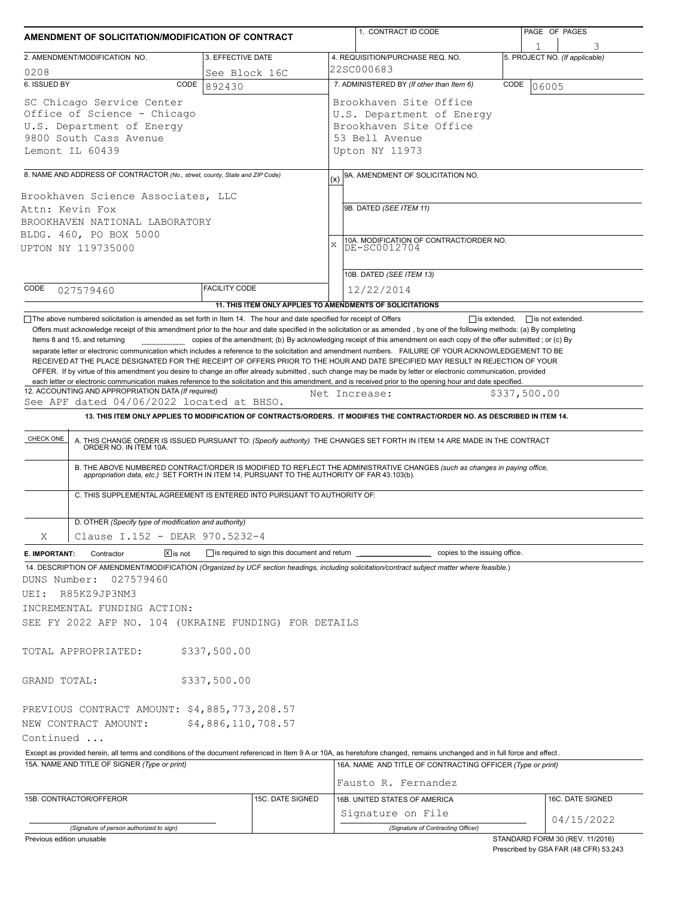| AMENDMENT OF SOLICITATION/MODIFICATION OF CONTRACT                                                                                                                                     |                         | 1. CONTRACT ID CODE                                                                                                                                                                                                                                                                                                                                                                                                                                                                                                                                                                                                                                                                                                                                     | PAGE OF PAGES                                                            |  |  |  |  |  |
|----------------------------------------------------------------------------------------------------------------------------------------------------------------------------------------|-------------------------|---------------------------------------------------------------------------------------------------------------------------------------------------------------------------------------------------------------------------------------------------------------------------------------------------------------------------------------------------------------------------------------------------------------------------------------------------------------------------------------------------------------------------------------------------------------------------------------------------------------------------------------------------------------------------------------------------------------------------------------------------------|--------------------------------------------------------------------------|--|--|--|--|--|
| 2. AMENDMENT/MODIFICATION NO.                                                                                                                                                          | 3. EFFECTIVE DATE       | 4. REQUISITION/PURCHASE REQ. NO.                                                                                                                                                                                                                                                                                                                                                                                                                                                                                                                                                                                                                                                                                                                        | 5. PROJECT NO. (If applicable)                                           |  |  |  |  |  |
| 0208                                                                                                                                                                                   |                         | 22SC000683                                                                                                                                                                                                                                                                                                                                                                                                                                                                                                                                                                                                                                                                                                                                              |                                                                          |  |  |  |  |  |
| 6. ISSUED BY<br>CODE                                                                                                                                                                   | See Block 16C<br>892430 | 7. ADMINISTERED BY (If other than Item 6)                                                                                                                                                                                                                                                                                                                                                                                                                                                                                                                                                                                                                                                                                                               | CODE<br>06005                                                            |  |  |  |  |  |
| SC Chicago Service Center<br>Office of Science - Chicago<br>U.S. Department of Energy<br>9800 South Cass Avenue<br>Lemont IL 60439                                                     |                         | Brookhaven Site Office<br>U.S. Department of Energy<br>Brookhaven Site Office<br>53 Bell Avenue<br>Upton NY 11973                                                                                                                                                                                                                                                                                                                                                                                                                                                                                                                                                                                                                                       |                                                                          |  |  |  |  |  |
| 8. NAME AND ADDRESS OF CONTRACTOR (No., street, county, State and ZIP Code)                                                                                                            |                         | 9A. AMENDMENT OF SOLICITATION NO.                                                                                                                                                                                                                                                                                                                                                                                                                                                                                                                                                                                                                                                                                                                       |                                                                          |  |  |  |  |  |
| Brookhaven Science Associates, LLC<br>Attn: Kevin Fox<br>BROOKHAVEN NATIONAL LABORATORY<br>BLDG. 460, PO BOX 5000<br>UPTON NY 119735000                                                |                         | (x)<br>9B. DATED (SEE ITEM 11)<br>10A. MODIFICATION OF CONTRACT/ORDER NO.<br> DE-SC0012704<br>X<br>10B. DATED (SEE ITEM 13)                                                                                                                                                                                                                                                                                                                                                                                                                                                                                                                                                                                                                             |                                                                          |  |  |  |  |  |
| CODE<br>027579460                                                                                                                                                                      | <b>FACILITY CODE</b>    | 12/22/2014                                                                                                                                                                                                                                                                                                                                                                                                                                                                                                                                                                                                                                                                                                                                              |                                                                          |  |  |  |  |  |
|                                                                                                                                                                                        |                         | 11. THIS ITEM ONLY APPLIES TO AMENDMENTS OF SOLICITATIONS                                                                                                                                                                                                                                                                                                                                                                                                                                                                                                                                                                                                                                                                                               |                                                                          |  |  |  |  |  |
| Items 8 and 15, and returning                                                                                                                                                          |                         | copies of the amendment; (b) By acknowledging receipt of this amendment on each copy of the offer submitted; or (c) By<br>separate letter or electronic communication which includes a reference to the solicitation and amendment numbers. FAILURE OF YOUR ACKNOWLEDGEMENT TO BE<br>RECEIVED AT THE PLACE DESIGNATED FOR THE RECEIPT OF OFFERS PRIOR TO THE HOUR AND DATE SPECIFIED MAY RESULT IN REJECTION OF YOUR<br>OFFER. If by virtue of this amendment you desire to change an offer already submitted, such change may be made by letter or electronic communication, provided<br>each letter or electronic communication makes reference to the solicitation and this amendment, and is received prior to the opening hour and date specified. |                                                                          |  |  |  |  |  |
| 12. ACCOUNTING AND APPROPRIATION DATA (If required)<br>See APF dated 04/06/2022 located at BHSO.                                                                                       |                         | Net Increase:                                                                                                                                                                                                                                                                                                                                                                                                                                                                                                                                                                                                                                                                                                                                           | \$337,500.00                                                             |  |  |  |  |  |
|                                                                                                                                                                                        |                         | 13. THIS ITEM ONLY APPLIES TO MODIFICATION OF CONTRACTS/ORDERS. IT MODIFIES THE CONTRACT/ORDER NO. AS DESCRIBED IN ITEM 14.                                                                                                                                                                                                                                                                                                                                                                                                                                                                                                                                                                                                                             |                                                                          |  |  |  |  |  |
| CHECK ONE<br>C. THIS SUPPLEMENTAL AGREEMENT IS ENTERED INTO PURSUANT TO AUTHORITY OF:                                                                                                  |                         | A. THIS CHANGE ORDER IS ISSUED PURSUANT TO: (Specify authority) THE CHANGES SET FORTH IN ITEM 14 ARE MADE IN THE CONTRACT ORDER NO. IN ITEM 10A.<br>B. THE ABOVE NUMBERED CONTRACT/ORDER IS MODIFIED TO REFLECT THE ADMINISTRATIVE CHANGES (such as changes in paying office,<br>appropriation data, etc.) SET FORTH IN ITEM 14, PURSUANT TO THE AUTHORITY OF FAR 43.103(b).                                                                                                                                                                                                                                                                                                                                                                            |                                                                          |  |  |  |  |  |
| D. OTHER (Specify type of modification and authority)                                                                                                                                  |                         |                                                                                                                                                                                                                                                                                                                                                                                                                                                                                                                                                                                                                                                                                                                                                         |                                                                          |  |  |  |  |  |
| Clause I.152 - DEAR 970.5232-4<br>Χ                                                                                                                                                    |                         |                                                                                                                                                                                                                                                                                                                                                                                                                                                                                                                                                                                                                                                                                                                                                         |                                                                          |  |  |  |  |  |
| $X$ is not<br>E. IMPORTANT:<br>Contractor<br>DUNS Number:<br>027579460<br>R85KZ9JP3NM3<br>UEI:<br>INCREMENTAL FUNDING ACTION:<br>SEE FY 2022 AFP NO. 104 (UKRAINE FUNDING) FOR DETAILS |                         | 14. DESCRIPTION OF AMENDMENT/MODIFICATION (Organized by UCF section headings, including solicitation/contract subject matter where feasible.)                                                                                                                                                                                                                                                                                                                                                                                                                                                                                                                                                                                                           |                                                                          |  |  |  |  |  |
| TOTAL APPROPRIATED:                                                                                                                                                                    | \$337,500.00            |                                                                                                                                                                                                                                                                                                                                                                                                                                                                                                                                                                                                                                                                                                                                                         |                                                                          |  |  |  |  |  |
| GRAND TOTAL:                                                                                                                                                                           | \$337,500.00            |                                                                                                                                                                                                                                                                                                                                                                                                                                                                                                                                                                                                                                                                                                                                                         |                                                                          |  |  |  |  |  |
| PREVIOUS CONTRACT AMOUNT: \$4,885,773,208.57                                                                                                                                           |                         |                                                                                                                                                                                                                                                                                                                                                                                                                                                                                                                                                                                                                                                                                                                                                         |                                                                          |  |  |  |  |  |
| NEW CONTRACT AMOUNT:                                                                                                                                                                   | \$4,886,110,708.57      |                                                                                                                                                                                                                                                                                                                                                                                                                                                                                                                                                                                                                                                                                                                                                         |                                                                          |  |  |  |  |  |
| Continued                                                                                                                                                                              |                         |                                                                                                                                                                                                                                                                                                                                                                                                                                                                                                                                                                                                                                                                                                                                                         |                                                                          |  |  |  |  |  |
|                                                                                                                                                                                        |                         | Except as provided herein, all terms and conditions of the document referenced in Item 9 A or 10A, as heretofore changed, remains unchanged and in full force and effect.                                                                                                                                                                                                                                                                                                                                                                                                                                                                                                                                                                               |                                                                          |  |  |  |  |  |
| 15A. NAME AND TITLE OF SIGNER (Type or print)                                                                                                                                          |                         | 16A. NAME AND TITLE OF CONTRACTING OFFICER (Type or print)<br>Fausto R. Fernandez                                                                                                                                                                                                                                                                                                                                                                                                                                                                                                                                                                                                                                                                       |                                                                          |  |  |  |  |  |
|                                                                                                                                                                                        |                         |                                                                                                                                                                                                                                                                                                                                                                                                                                                                                                                                                                                                                                                                                                                                                         |                                                                          |  |  |  |  |  |
| 15B. CONTRACTOR/OFFEROR                                                                                                                                                                | 15C. DATE SIGNED        | 16B. UNITED STATES OF AMERICA                                                                                                                                                                                                                                                                                                                                                                                                                                                                                                                                                                                                                                                                                                                           | 16C. DATE SIGNED                                                         |  |  |  |  |  |
|                                                                                                                                                                                        |                         | Signature on File                                                                                                                                                                                                                                                                                                                                                                                                                                                                                                                                                                                                                                                                                                                                       | 04/15/2022                                                               |  |  |  |  |  |
| (Signature of person authorized to sign)<br>Previous edition unusable                                                                                                                  |                         | (Signature of Contracting Officer)                                                                                                                                                                                                                                                                                                                                                                                                                                                                                                                                                                                                                                                                                                                      | STANDARD FORM 30 (REV. 11/2016)<br>Prescribed by GSA FAR (48 CFR) 53.243 |  |  |  |  |  |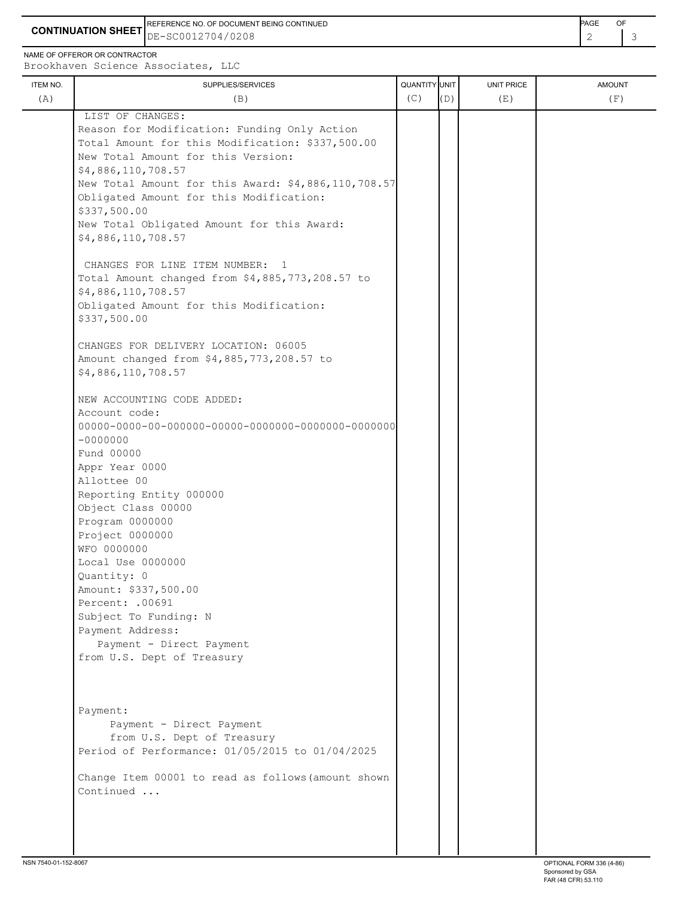**CONTINUATION SHEET** DE-SC0012704/0208 2 3 REFERENCE NO. OF DOCUMENT BEING CONTINUED **EXAMPLE A CONTINUED** 

NAME OF OFFEROR OR CONTRACTOR

Brookhaven Science Associates, LLC

| ITEM NO.<br>(A) | SUPPLIES/SERVICES<br>(B)                            | QUANTITY UNIT<br>(C) | (D) | <b>UNIT PRICE</b><br>(E) | <b>AMOUNT</b><br>(F) |
|-----------------|-----------------------------------------------------|----------------------|-----|--------------------------|----------------------|
|                 | LIST OF CHANGES:                                    |                      |     |                          |                      |
|                 | Reason for Modification: Funding Only Action        |                      |     |                          |                      |
|                 | Total Amount for this Modification: \$337,500.00    |                      |     |                          |                      |
|                 | New Total Amount for this Version:                  |                      |     |                          |                      |
|                 | \$4,886,110,708.57                                  |                      |     |                          |                      |
|                 |                                                     |                      |     |                          |                      |
|                 | New Total Amount for this Award: \$4,886,110,708.57 |                      |     |                          |                      |
|                 | Obligated Amount for this Modification:             |                      |     |                          |                      |
|                 | \$337,500.00                                        |                      |     |                          |                      |
|                 | New Total Obligated Amount for this Award:          |                      |     |                          |                      |
|                 | \$4,886,110,708.57                                  |                      |     |                          |                      |
|                 | CHANGES FOR LINE ITEM NUMBER: 1                     |                      |     |                          |                      |
|                 | Total Amount changed from \$4,885,773,208.57 to     |                      |     |                          |                      |
|                 | \$4,886,110,708.57                                  |                      |     |                          |                      |
|                 | Obligated Amount for this Modification:             |                      |     |                          |                      |
|                 | \$337,500.00                                        |                      |     |                          |                      |
|                 |                                                     |                      |     |                          |                      |
|                 | CHANGES FOR DELIVERY LOCATION: 06005                |                      |     |                          |                      |
|                 | Amount changed from \$4,885,773,208.57 to           |                      |     |                          |                      |
|                 | \$4,886,110,708.57                                  |                      |     |                          |                      |
|                 |                                                     |                      |     |                          |                      |
|                 | NEW ACCOUNTING CODE ADDED:                          |                      |     |                          |                      |
|                 | Account code:                                       |                      |     |                          |                      |
|                 |                                                     |                      |     |                          |                      |
|                 | $-00000000$                                         |                      |     |                          |                      |
|                 | Fund 00000                                          |                      |     |                          |                      |
|                 | Appr Year 0000                                      |                      |     |                          |                      |
|                 | Allottee 00                                         |                      |     |                          |                      |
|                 | Reporting Entity 000000                             |                      |     |                          |                      |
|                 | Object Class 00000                                  |                      |     |                          |                      |
|                 | Program 0000000                                     |                      |     |                          |                      |
|                 | Project 0000000                                     |                      |     |                          |                      |
|                 | WFO 0000000                                         |                      |     |                          |                      |
|                 | Local Use 0000000                                   |                      |     |                          |                      |
|                 | Quantity: 0                                         |                      |     |                          |                      |
|                 | Amount: \$337,500.00                                |                      |     |                          |                      |
|                 | Percent: . 00691                                    |                      |     |                          |                      |
|                 | Subject To Funding: N                               |                      |     |                          |                      |
|                 | Payment Address:                                    |                      |     |                          |                      |
|                 | Payment - Direct Payment                            |                      |     |                          |                      |
|                 | from U.S. Dept of Treasury                          |                      |     |                          |                      |
|                 |                                                     |                      |     |                          |                      |
|                 |                                                     |                      |     |                          |                      |
|                 | Payment:                                            |                      |     |                          |                      |
|                 | Payment - Direct Payment                            |                      |     |                          |                      |
|                 | from U.S. Dept of Treasury                          |                      |     |                          |                      |
|                 | Period of Performance: 01/05/2015 to 01/04/2025     |                      |     |                          |                      |
|                 | Change Item 00001 to read as follows (amount shown  |                      |     |                          |                      |
|                 | Continued                                           |                      |     |                          |                      |
|                 |                                                     |                      |     |                          |                      |
|                 |                                                     |                      |     |                          |                      |
|                 |                                                     |                      |     |                          |                      |
|                 |                                                     |                      |     |                          |                      |